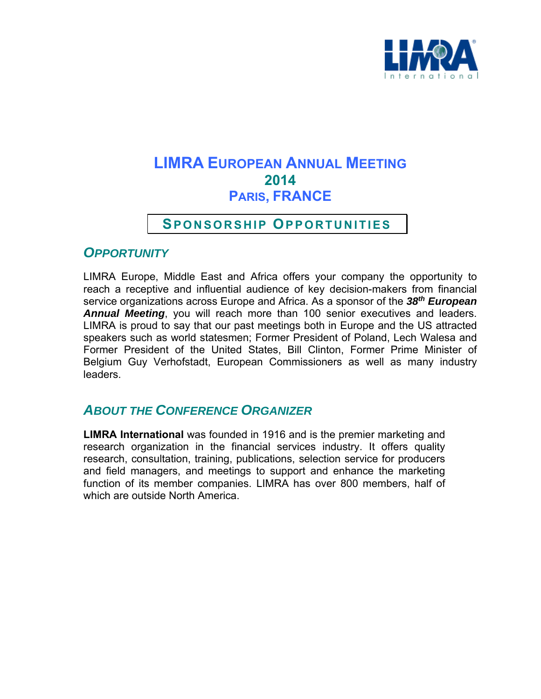

# **LIMRA EUROPEAN ANNUAL MEETING 2014 PARIS, FRANCE**

## **SPONSORSHIP OPPORTUNITIES**

## *OPPORTUNITY*

LIMRA Europe, Middle East and Africa offers your company the opportunity to reach a receptive and influential audience of key decision-makers from financial service organizations across Europe and Africa. As a sponsor of the *38th European Annual Meeting*, you will reach more than 100 senior executives and leaders. LIMRA is proud to say that our past meetings both in Europe and the US attracted speakers such as world statesmen; Former President of Poland, Lech Walesa and Former President of the United States, Bill Clinton, Former Prime Minister of Belgium Guy Verhofstadt, European Commissioners as well as many industry leaders.

## *ABOUT THE CONFERENCE ORGANIZER*

**LIMRA International** was founded in 1916 and is the premier marketing and research organization in the financial services industry. It offers quality research, consultation, training, publications, selection service for producers and field managers, and meetings to support and enhance the marketing function of its member companies. LIMRA has over 800 members, half of which are outside North America.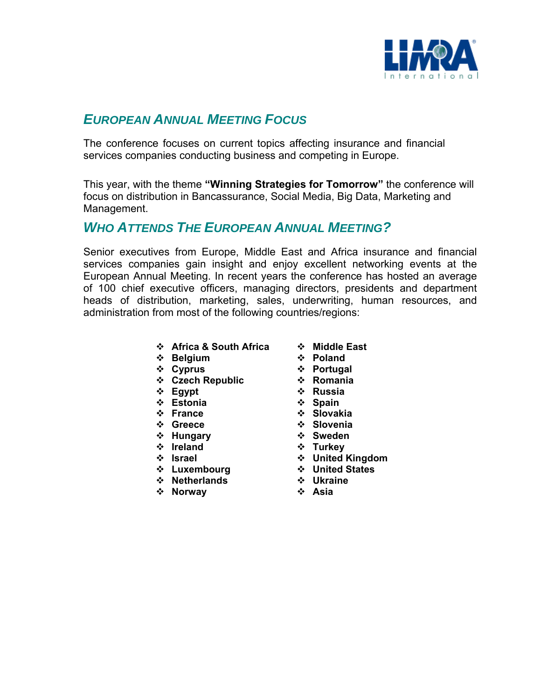

# *EUROPEAN ANNUAL MEETING FOCUS*

The conference focuses on current topics affecting insurance and financial services companies conducting business and competing in Europe.

This year, with the theme **"Winning Strategies for Tomorrow"** the conference will focus on distribution in Bancassurance, Social Media, Big Data, Marketing and Management.

### *WHO ATTENDS THE EUROPEAN ANNUAL MEETING?*

Senior executives from Europe, Middle East and Africa insurance and financial services companies gain insight and enjoy excellent networking events at the European Annual Meeting. In recent years the conference has hosted an average of 100 chief executive officers, managing directors, presidents and department heads of distribution, marketing, sales, underwriting, human resources, and administration from most of the following countries/regions:

- **↑ Africa & South Africa ↑ Middle East**
- **<sup>↓</sup> Belgium ◆ Poland <br>
→ Poland <br>
→ Portugal**
- 
- **Czech Republic Romania**
- 
- 
- 
- 
- 
- 
- 
- 
- 
- **Netherlands Ukraine**
- $\div$  **Norway**
- 
- 
- $\div$  **Cyprus**  $\div$  Portugal
	-
	- **Egypt Russia**
- ◆ Estonia **→ ◆ Spain**
- **France Slovakia**
- **Greece Slovenia**
- **\*** Hungary **\*** Sweden
- $\triangle$  **Ireland**  $\triangle$  **Turkey**
- **Israel United Kingdom**
- **<sup>❖</sup> Luxembourg <sup>❖</sup> United States**<br>❖ Netherlands <sup>❖</sup> Ukraine
	-
	-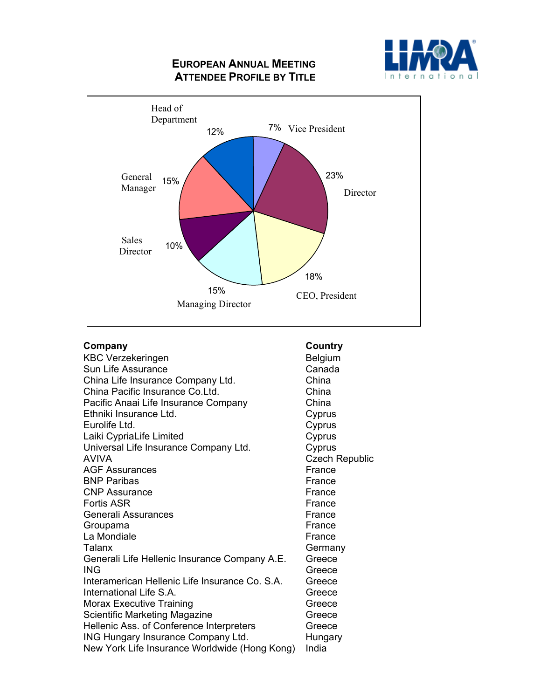### **EUROPEAN ANNUAL MEETING ATTENDEE PROFILE BY TITLE**





## **Company Country Country**

| <b>KBC Verzekeringen</b>                       | <b>Belgium</b>        |
|------------------------------------------------|-----------------------|
| Sun Life Assurance                             | Canada                |
| China Life Insurance Company Ltd.              | China                 |
| China Pacific Insurance Co.Ltd.                | China                 |
| Pacific Anaai Life Insurance Company           | China                 |
| Ethniki Insurance Ltd.                         | Cyprus                |
| Eurolife Ltd.                                  | Cyprus                |
| Laiki CypriaLife Limited                       | Cyprus                |
| Universal Life Insurance Company Ltd.          | Cyprus                |
| <b>AVIVA</b>                                   | <b>Czech Republic</b> |
| <b>AGF Assurances</b>                          | France                |
| <b>BNP Paribas</b>                             | France                |
| <b>CNP Assurance</b>                           | France                |
| <b>Fortis ASR</b>                              | France                |
| <b>Generali Assurances</b>                     | France                |
| Groupama                                       | France                |
| La Mondiale                                    | France                |
| Talanx                                         | Germany               |
| Generali Life Hellenic Insurance Company A.E.  | Greece                |
| <b>ING</b>                                     | Greece                |
| Interamerican Hellenic Life Insurance Co. S.A. | Greece                |
| International Life S.A.                        | Greece                |
| <b>Morax Executive Training</b>                | Greece                |
| Scientific Marketing Magazine                  | Greece                |
| Hellenic Ass. of Conference Interpreters       | Greece                |
| <b>ING Hungary Insurance Company Ltd.</b>      | Hungary               |
| New York Life Insurance Worldwide (Hong Kong)  | India                 |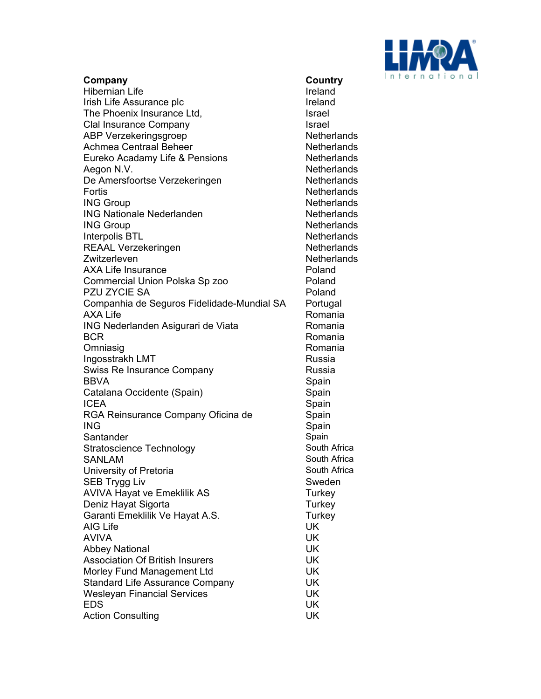

| Company                                    | Country              |
|--------------------------------------------|----------------------|
| <b>Hibernian Life</b>                      | Ireland              |
| Irish Life Assurance plc                   | Ireland              |
| The Phoenix Insurance Ltd,                 | <b>Israel</b>        |
| Clal Insurance Company                     | <b>Israel</b>        |
| <b>ABP Verzekeringsgroep</b>               | Netherla             |
| <b>Achmea Centraal Beheer</b>              | Netherla             |
| Eureko Acadamy Life & Pensions             | Netherla             |
|                                            | Netherla             |
| Aegon N.V.                                 | Netherla             |
| De Amersfoortse Verzekeringen              |                      |
| Fortis                                     | Netherla<br>Netherla |
| <b>ING Group</b>                           |                      |
| <b>ING Nationale Nederlanden</b>           | Netherla             |
| <b>ING Group</b>                           | Netherla             |
| Interpolis BTL                             | Netherla             |
| <b>REAAL Verzekeringen</b>                 | Netherla             |
| Zwitzerleven                               | Netherla             |
| <b>AXA Life Insurance</b>                  | Poland               |
| Commercial Union Polska Sp zoo             | Poland               |
| PZU ZYCIE SA                               | Poland               |
| Companhia de Seguros Fidelidade-Mundial SA | Portugal             |
| <b>AXA Life</b>                            | Romania              |
| ING Nederlanden Asigurari de Viata         | Romania              |
| <b>BCR</b>                                 | Romania              |
| Omniasig                                   | Romania              |
| Ingosstrakh LMT                            | Russia               |
| <b>Swiss Re Insurance Company</b>          | Russia               |
| <b>BBVA</b>                                | Spain                |
| Catalana Occidente (Spain)                 | Spain                |
| <b>ICEA</b>                                | Spain                |
| RGA Reinsurance Company Oficina de         | Spain                |
| <b>ING</b>                                 | Spain                |
| Santander                                  | Spain                |
| <b>Stratoscience Technology</b>            | South Afri           |
| <b>SANLAM</b>                              | South Afri           |
| University of Pretoria                     | South Afri           |
| SEB Trygg Liv                              | Sweden               |
| <b>AVIVA Hayat ve Emeklilik AS</b>         | Turkey               |
| Deniz Hayat Sigorta                        | Turkey               |
| Garanti Emeklilik Ve Hayat A.S.            | Turkey               |
| AIG Life                                   | UK                   |
| <b>AVIVA</b>                               | UK                   |
| <b>Abbey National</b>                      | UK                   |
| <b>Association Of British Insurers</b>     | <b>UK</b>            |
| Morley Fund Management Ltd                 | UK                   |
| <b>Standard Life Assurance Company</b>     | UK                   |
| <b>Wesleyan Financial Services</b>         | UK                   |
| <b>EDS</b>                                 | UK                   |
| <b>Action Consulting</b>                   | UK                   |

**cuntry** etherlands etherlands etherlands etherlands etherlands etherlands etherlands etherlands etherlands etherlands etherlands etherlands ortugal omania omania omania omania buth Africa buth Africa buth Africa<br>weden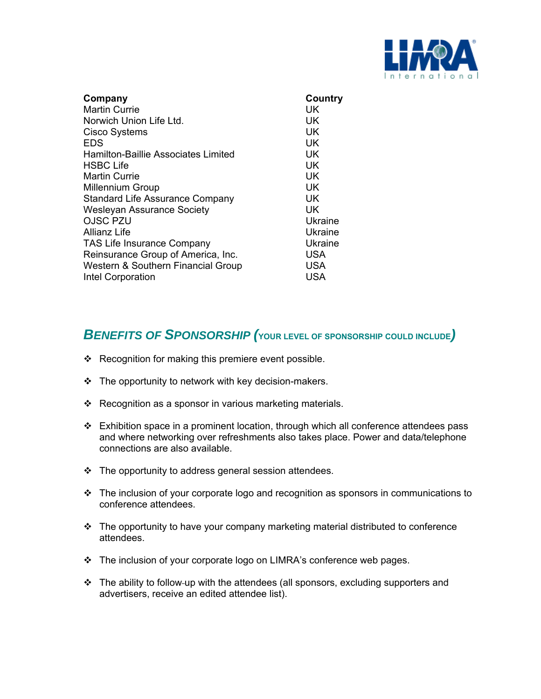

| Company                                    | Country    |
|--------------------------------------------|------------|
| <b>Martin Currie</b>                       | UK         |
| Norwich Union Life Ltd.                    | UK         |
| <b>Cisco Systems</b>                       | UK         |
| <b>EDS</b>                                 | UK         |
| <b>Hamilton-Baillie Associates Limited</b> | UK         |
| <b>HSBC Life</b>                           | UK         |
| <b>Martin Currie</b>                       | UK         |
| <b>Millennium Group</b>                    | UK         |
| <b>Standard Life Assurance Company</b>     | UK.        |
| <b>Wesleyan Assurance Society</b>          | UK         |
| <b>OJSC PZU</b>                            | Ukraine    |
| Allianz Life                               | Ukraine    |
| <b>TAS Life Insurance Company</b>          | Ukraine    |
| Reinsurance Group of America, Inc.         | <b>USA</b> |
| Western & Southern Financial Group         | <b>USA</b> |
| Intel Corporation                          | USA        |

### *BENEFITS OF SPONSORSHIP (***YOUR LEVEL OF SPONSORSHIP COULD INCLUDE***)*

- ❖ Recognition for making this premiere event possible.
- $\div$  The opportunity to network with key decision-makers.
- ❖ Recognition as a sponsor in various marketing materials.
- $\div$  Exhibition space in a prominent location, through which all conference attendees pass and where networking over refreshments also takes place. Power and data/telephone connections are also available.
- $\div$  The opportunity to address general session attendees.
- \* The inclusion of your corporate logo and recognition as sponsors in communications to conference attendees.
- The opportunity to have your company marketing material distributed to conference attendees.
- The inclusion of your corporate logo on LIMRA's conference web pages.
- \* The ability to follow-up with the attendees (all sponsors, excluding supporters and advertisers, receive an edited attendee list).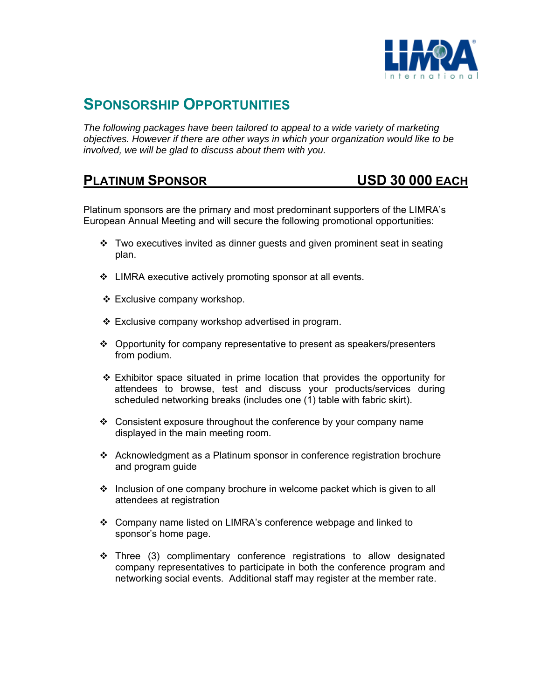

# **SPONSORSHIP OPPORTUNITIES**

*The following packages have been tailored to appeal to a wide variety of marketing objectives. However if there are other ways in which your organization would like to be involved, we will be glad to discuss about them with you.* 

### **PLATINUM SPONSOR USD 30 000 EACH**

Platinum sponsors are the primary and most predominant supporters of the LIMRA's European Annual Meeting and will secure the following promotional opportunities:

- $\cdot \cdot$  Two executives invited as dinner guests and given prominent seat in seating plan.
- ❖ LIMRA executive actively promoting sponsor at all events.
- ❖ Exclusive company workshop.
- $\div$  Exclusive company workshop advertised in program.
- $\div$  Opportunity for company representative to present as speakers/presenters from podium.
- $\div$  Exhibitor space situated in prime location that provides the opportunity for attendees to browse, test and discuss your products/services during scheduled networking breaks (includes one (1) table with fabric skirt).
- Consistent exposure throughout the conference by your company name displayed in the main meeting room.
- Acknowledgment as a Platinum sponsor in conference registration brochure and program guide
- $\div$  Inclusion of one company brochure in welcome packet which is given to all attendees at registration
- Company name listed on LIMRA's conference webpage and linked to sponsor's home page.
- $\div$  Three (3) complimentary conference registrations to allow designated company representatives to participate in both the conference program and networking social events. Additional staff may register at the member rate.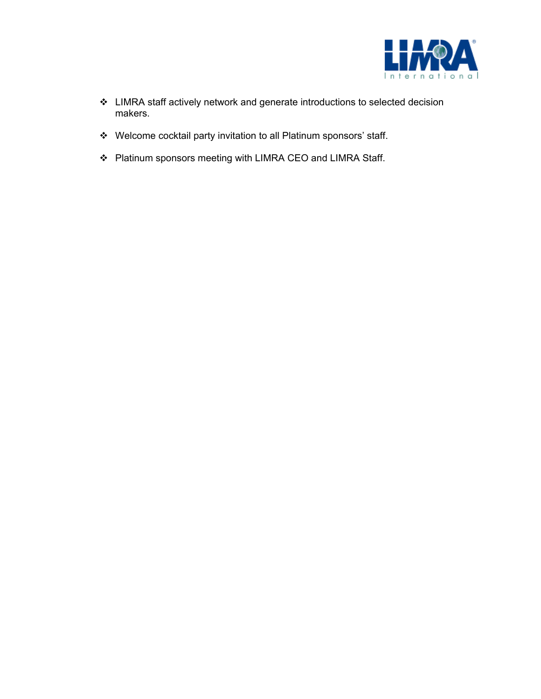

- LIMRA staff actively network and generate introductions to selected decision makers.
- Welcome cocktail party invitation to all Platinum sponsors' staff.
- Platinum sponsors meeting with LIMRA CEO and LIMRA Staff.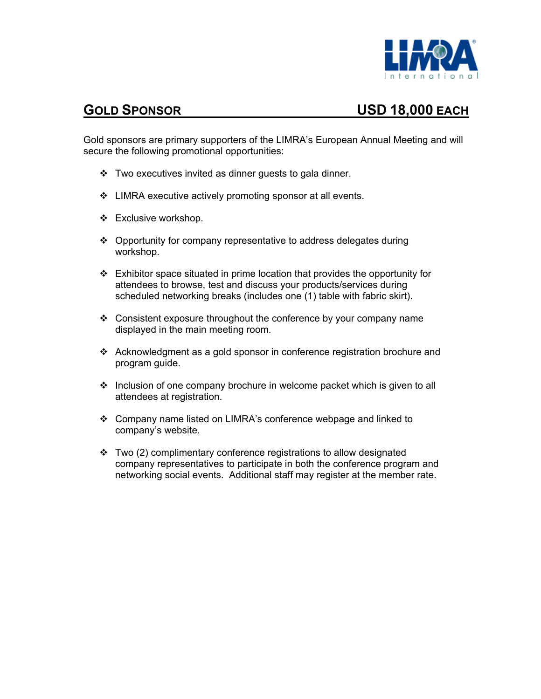

# **GOLD SPONSOR USD 18,000 EACH**

Gold sponsors are primary supporters of the LIMRA's European Annual Meeting and will secure the following promotional opportunities:

- \* Two executives invited as dinner guests to gala dinner.
- LIMRA executive actively promoting sponsor at all events.
- Exclusive workshop.
- Opportunity for company representative to address delegates during workshop.
- $\div$  Exhibitor space situated in prime location that provides the opportunity for attendees to browse, test and discuss your products/services during scheduled networking breaks (includes one (1) table with fabric skirt).
- $\div$  Consistent exposure throughout the conference by your company name displayed in the main meeting room.
- Acknowledgment as a gold sponsor in conference registration brochure and program guide.
- $\div$  Inclusion of one company brochure in welcome packet which is given to all attendees at registration.
- Company name listed on LIMRA's conference webpage and linked to company's website.
- $\div$  Two (2) complimentary conference registrations to allow designated company representatives to participate in both the conference program and networking social events. Additional staff may register at the member rate.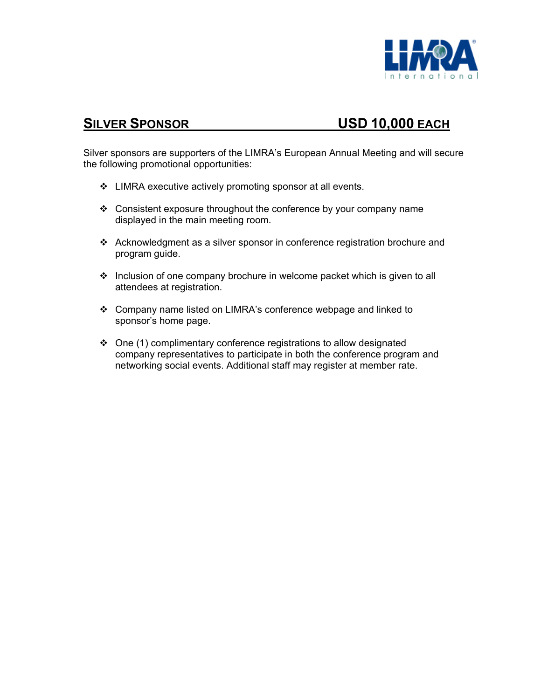

# **SILVER SPONSOR USD 10,000 EACH**

Silver sponsors are supporters of the LIMRA's European Annual Meeting and will secure the following promotional opportunities:

- LIMRA executive actively promoting sponsor at all events.
- $\div$  Consistent exposure throughout the conference by your company name displayed in the main meeting room.
- Acknowledgment as a silver sponsor in conference registration brochure and program guide.
- ❖ Inclusion of one company brochure in welcome packet which is given to all attendees at registration.
- Company name listed on LIMRA's conference webpage and linked to sponsor's home page.
- One (1) complimentary conference registrations to allow designated company representatives to participate in both the conference program and networking social events. Additional staff may register at member rate.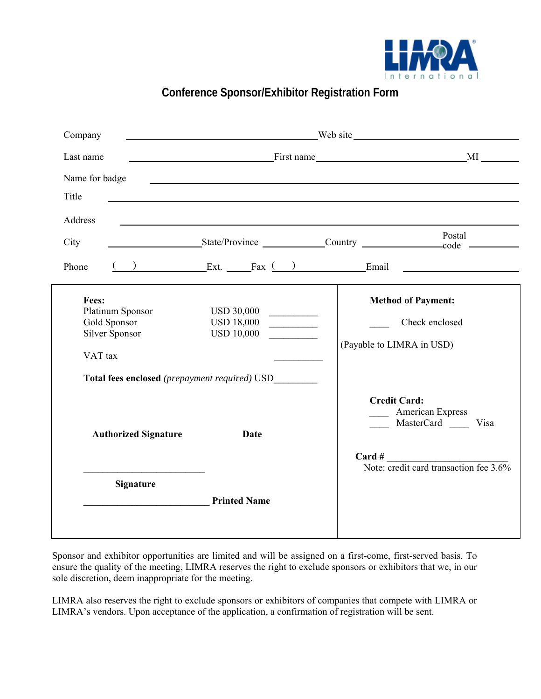

## **Conference Sponsor/Exhibitor Registration Form**

| Company                                                                                                                        | <u> Alexandria de la contrada de la contrada de la contrada de la contrada de la contrada de la contrada de la c</u> |                                                                                                                          |  |
|--------------------------------------------------------------------------------------------------------------------------------|----------------------------------------------------------------------------------------------------------------------|--------------------------------------------------------------------------------------------------------------------------|--|
| Last name                                                                                                                      |                                                                                                                      |                                                                                                                          |  |
| Name for badge<br>Title                                                                                                        |                                                                                                                      |                                                                                                                          |  |
| Address                                                                                                                        |                                                                                                                      | Postal                                                                                                                   |  |
| City                                                                                                                           |                                                                                                                      | State/Province Country Country Countries                                                                                 |  |
| Phone                                                                                                                          |                                                                                                                      | $\overline{f}$ ( ) Ext. Fax $\overline{f}$ Ext. Fax $\overline{f}$ Email $\overline{f}$                                  |  |
| Fees:<br>Platinum Sponsor<br>Gold Sponsor<br>Silver Sponsor<br>VAT tax<br><b>Total fees enclosed</b> (prepayment required) USD | USD 30,000<br><b>USD 18,000</b><br><b>USD 10,000</b>                                                                 | <b>Method of Payment:</b><br>Check enclosed<br>(Payable to LIMRA in USD)                                                 |  |
| <b>Authorized Signature</b>                                                                                                    | <b>Date</b>                                                                                                          | <b>Credit Card:</b><br><b>American Express</b><br>MasterCard Visa<br>Card #<br>Note: credit card transaction fee $3.6\%$ |  |
| <b>Signature</b>                                                                                                               | <b>Printed Name</b>                                                                                                  |                                                                                                                          |  |

Sponsor and exhibitor opportunities are limited and will be assigned on a first-come, first-served basis. To ensure the quality of the meeting, LIMRA reserves the right to exclude sponsors or exhibitors that we, in our sole discretion, deem inappropriate for the meeting.

LIMRA also reserves the right to exclude sponsors or exhibitors of companies that compete with LIMRA or LIMRA's vendors. Upon acceptance of the application, a confirmation of registration will be sent.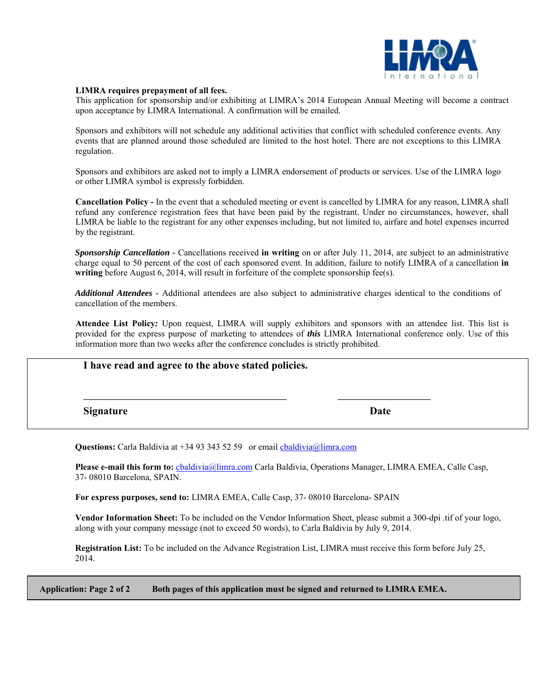

### **LIMRA requires prepayment of all fees.**

This application for sponsorship and/or exhibiting at LIMRA's 2014 European Annual Meeting will become a contract upon acceptance by LIMRA International. A confirmation will be emailed.

Sponsors and exhibitors will not schedule any additional activities that conflict with scheduled conference events. Any events that are planned around those scheduled are limited to the host hotel. There are not exceptions to this LIMRA regulation.

Sponsors and exhibitors are asked not to imply a LIMRA endorsement of products or services. Use of the LIMRA logo or other LIMRA symbol is expressly forbidden.

**Cancellation Policy -** In the event that a scheduled meeting or event is cancelled by LIMRA for any reason, LIMRA shall refund any conference registration fees that have been paid by the registrant. Under no circumstances, however, shall LIMRA be liable to the registrant for any other expenses including, but not limited to, airfare and hotel expenses incurred by the registrant.

*Sponsorship Cancellation -* Cancellations received **in writing** on or after July 11, 2014, are subject to an administrative charge equal to 50 percent of the cost of each sponsored event. In addition, failure to notify LIMRA of a cancellation **in**  writing before August 6, 2014, will result in forfeiture of the complete sponsorship fee(s).

*Additional Attendees -* Additional attendees are also subject to administrative charges identical to the conditions of cancellation of the members.

**Attendee List Policy***:* Upon request, LIMRA will supply exhibitors and sponsors with an attendee list. This list is provided for the express purpose of marketing to attendees of *this* LIMRA International conference only. Use of this information more than two weeks after the conference concludes is strictly prohibited.

| I have read and agree to the above stated policies. |      |  |
|-----------------------------------------------------|------|--|
| <b>Signature</b>                                    | Date |  |

Questions: Carla Baldivia at +34 93 343 52 59 or email chaldivia@limra.com

**Please e-mail this form to:** cbaldivia@limra.com Carla Baldivia, Operations Manager, LIMRA EMEA, Calle Casp, 37- 08010 Barcelona, SPAIN.

**For express purposes, send to:** LIMRA EMEA, Calle Casp, 37- 08010 Barcelona- SPAIN

**Vendor Information Sheet:** To be included on the Vendor Information Sheet, please submit a 300-dpi .tif of your logo, along with your company message (not to exceed 50 words), to Carla Baldivia by July 9, 2014.

**Registration List:** To be included on the Advance Registration List, LIMRA must receive this form before July 25, 2014.

**Application: Page 2 of 2 Both pages of this application must be signed and returned to LIMRA EMEA.**